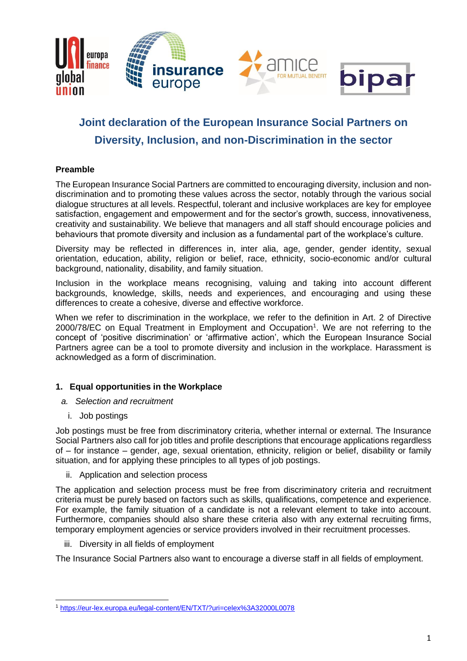

# **Joint declaration of the European Insurance Social Partners on Diversity, Inclusion, and non-Discrimination in the sector**

## **Preamble**

The European Insurance Social Partners are committed to encouraging diversity, inclusion and nondiscrimination and to promoting these values across the sector, notably through the various social dialogue structures at all levels. Respectful, tolerant and inclusive workplaces are key for employee satisfaction, engagement and empowerment and for the sector's growth, success, innovativeness, creativity and sustainability. We believe that managers and all staff should encourage policies and behaviours that promote diversity and inclusion as a fundamental part of the workplace's culture.

Diversity may be reflected in differences in, inter alia, age, gender, gender identity, sexual orientation, education, ability, religion or belief, race, ethnicity, socio-economic and/or cultural background, nationality, disability, and family situation.

Inclusion in the workplace means recognising, valuing and taking into account different backgrounds, knowledge, skills, needs and experiences, and encouraging and using these differences to create a cohesive, diverse and effective workforce.

When we refer to discrimination in the workplace, we refer to the definition in Art. 2 of Directive 2000/78/EC on Equal Treatment in Employment and Occupation<sup>1</sup>. We are not referring to the concept of 'positive discrimination' or 'affirmative action', which the European Insurance Social Partners agree can be a tool to promote diversity and inclusion in the workplace. Harassment is acknowledged as a form of discrimination.

## **1. Equal opportunities in the Workplace**

- *a. Selection and recruitment*
	- i. Job postings

Job postings must be free from discriminatory criteria, whether internal or external. The Insurance Social Partners also call for job titles and profile descriptions that encourage applications regardless of – for instance – gender, age, sexual orientation, ethnicity, religion or belief, disability or family situation, and for applying these principles to all types of job postings.

ii. Application and selection process

The application and selection process must be free from discriminatory criteria and recruitment criteria must be purely based on factors such as skills, qualifications, competence and experience. For example, the family situation of a candidate is not a relevant element to take into account. Furthermore, companies should also share these criteria also with any external recruiting firms, temporary employment agencies or service providers involved in their recruitment processes.

iii. Diversity in all fields of employment

The Insurance Social Partners also want to encourage a diverse staff in all fields of employment.

<sup>1</sup> <https://eur-lex.europa.eu/legal-content/EN/TXT/?uri=celex%3A32000L0078>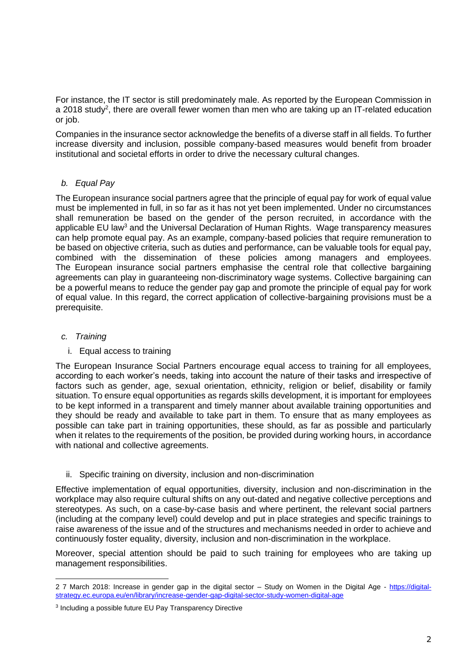For instance, the IT sector is still predominately male. As reported by the European Commission in a 2018 study<sup>2</sup>, there are overall fewer women than men who are taking up an IT-related education or job.

Companies in the insurance sector acknowledge the benefits of a diverse staff in all fields. To further increase diversity and inclusion, possible company-based measures would benefit from broader institutional and societal efforts in order to drive the necessary cultural changes.

# *b. Equal Pay*

The European insurance social partners agree that the principle of equal pay for work of equal value must be implemented in full, in so far as it has not yet been implemented. Under no circumstances shall remuneration be based on the gender of the person recruited, in accordance with the applicable EU law<sup>3</sup> and the Universal Declaration of Human Rights. Wage transparency measures can help promote equal pay. As an example, company-based policies that require remuneration to be based on objective criteria, such as duties and performance, can be valuable tools for equal pay, combined with the dissemination of these policies among managers and employees. The European insurance social partners emphasise the central role that collective bargaining agreements can play in guaranteeing non-discriminatory wage systems. Collective bargaining can be a powerful means to reduce the gender pay gap and promote the principle of equal pay for work of equal value. In this regard, the correct application of collective-bargaining provisions must be a prerequisite.

## *c. Training*

## i. Equal access to training

The European Insurance Social Partners encourage equal access to training for all employees, according to each worker's needs, taking into account the nature of their tasks and irrespective of factors such as gender, age, sexual orientation, ethnicity, religion or belief, disability or family situation. To ensure equal opportunities as regards skills development, it is important for employees to be kept informed in a transparent and timely manner about available training opportunities and they should be ready and available to take part in them. To ensure that as many employees as possible can take part in training opportunities, these should, as far as possible and particularly when it relates to the requirements of the position, be provided during working hours, in accordance with national and collective agreements.

ii. Specific training on diversity, inclusion and non-discrimination

Effective implementation of equal opportunities, diversity, inclusion and non-discrimination in the workplace may also require cultural shifts on any out-dated and negative collective perceptions and stereotypes. As such, on a case-by-case basis and where pertinent, the relevant social partners (including at the company level) could develop and put in place strategies and specific trainings to raise awareness of the issue and of the structures and mechanisms needed in order to achieve and continuously foster equality, diversity, inclusion and non-discrimination in the workplace.

Moreover, special attention should be paid to such training for employees who are taking up management responsibilities.

<sup>2</sup> 7 March 2018: Increase in gender gap in the digital sector – Study on Women in the Digital Age - [https://digital](https://digital-strategy.ec.europa.eu/en/library/increase-gender-gap-digital-sector-study-women-digital-age)[strategy.ec.europa.eu/en/library/increase-gender-gap-digital-sector-study-women-digital-age](https://digital-strategy.ec.europa.eu/en/library/increase-gender-gap-digital-sector-study-women-digital-age)

<sup>3</sup> Including a possible future EU Pay Transparency Directive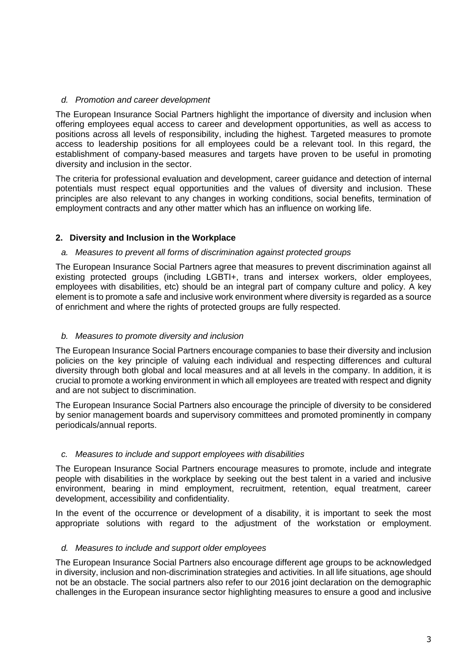## *d. Promotion and career development*

The European Insurance Social Partners highlight the importance of diversity and inclusion when offering employees equal access to career and development opportunities, as well as access to positions across all levels of responsibility, including the highest. Targeted measures to promote access to leadership positions for all employees could be a relevant tool. In this regard, the establishment of company-based measures and targets have proven to be useful in promoting diversity and inclusion in the sector.

The criteria for professional evaluation and development, career guidance and detection of internal potentials must respect equal opportunities and the values of diversity and inclusion. These principles are also relevant to any changes in working conditions, social benefits, termination of employment contracts and any other matter which has an influence on working life.

# **2. Diversity and Inclusion in the Workplace**

## *a. Measures to prevent all forms of discrimination against protected groups*

The European Insurance Social Partners agree that measures to prevent discrimination against all existing protected groups (including LGBTI+, trans and intersex workers, older employees, employees with disabilities, etc) should be an integral part of company culture and policy. A key element is to promote a safe and inclusive work environment where diversity is regarded as a source of enrichment and where the rights of protected groups are fully respected.

## *b. Measures to promote diversity and inclusion*

The European Insurance Social Partners encourage companies to base their diversity and inclusion policies on the key principle of valuing each individual and respecting differences and cultural diversity through both global and local measures and at all levels in the company. In addition, it is crucial to promote a working environment in which all employees are treated with respect and dignity and are not subject to discrimination.

The European Insurance Social Partners also encourage the principle of diversity to be considered by senior management boards and supervisory committees and promoted prominently in company periodicals/annual reports.

#### *c. Measures to include and support employees with disabilities*

The European Insurance Social Partners encourage measures to promote, include and integrate people with disabilities in the workplace by seeking out the best talent in a varied and inclusive environment, bearing in mind employment, recruitment, retention, equal treatment, career development, accessibility and confidentiality.

In the event of the occurrence or development of a disability, it is important to seek the most appropriate solutions with regard to the adjustment of the workstation or employment.

#### *d. Measures to include and support older employees*

The European Insurance Social Partners also encourage different age groups to be acknowledged in diversity, inclusion and non-discrimination strategies and activities. In all life situations, age should not be an obstacle. The social partners also refer to our 2016 joint declaration on the demographic challenges in the European insurance sector highlighting measures to ensure a good and inclusive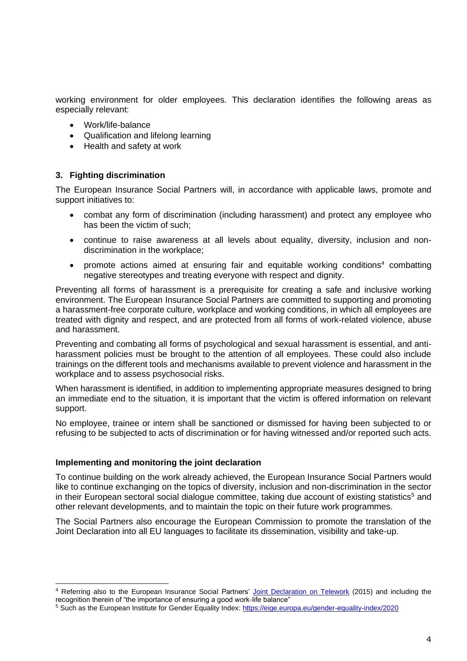working environment for older employees. This declaration identifies the following areas as especially relevant:

- Work/life-balance
- Qualification and lifelong learning
- Health and safety at work

#### **3. Fighting discrimination**

The European Insurance Social Partners will, in accordance with applicable laws, promote and support initiatives to:

- combat any form of discrimination (including harassment) and protect any employee who has been the victim of such;
- continue to raise awareness at all levels about equality, diversity, inclusion and nondiscrimination in the workplace;
- promote actions aimed at ensuring fair and equitable working conditions<sup>4</sup> combatting negative stereotypes and treating everyone with respect and dignity.

Preventing all forms of harassment is a prerequisite for creating a safe and inclusive working environment. The European Insurance Social Partners are committed to supporting and promoting a harassment-free corporate culture, workplace and working conditions, in which all employees are treated with dignity and respect, and are protected from all forms of work-related violence, abuse and harassment.

Preventing and combating all forms of psychological and sexual harassment is essential, and antiharassment policies must be brought to the attention of all employees. These could also include trainings on the different tools and mechanisms available to prevent violence and harassment in the workplace and to assess psychosocial risks.

When harassment is identified, in addition to implementing appropriate measures designed to bring an immediate end to the situation, it is important that the victim is offered information on relevant support.

No employee, trainee or intern shall be sanctioned or dismissed for having been subjected to or refusing to be subjected to acts of discrimination or for having witnessed and/or reported such acts.

#### **Implementing and monitoring the joint declaration**

To continue building on the work already achieved, the European Insurance Social Partners would like to continue exchanging on the topics of diversity, inclusion and non-discrimination in the sector in their European sectoral social dialogue committee, taking due account of existing statistics<sup>5</sup> and other relevant developments, and to maintain the topic on their future work programmes.

The Social Partners also encourage the European Commission to promote the translation of the Joint Declaration into all EU languages to facilitate its dissemination, visibility and take-up.

<sup>4</sup> Referring also to the European Insurance Social Partners' [Joint Declaration on](https://uniglobalunion.sharepoint.com/sites/UNIeuropaStaffmeetings/SectorGroups/Finance/Social%20Dialogue/Insurance/Diversity%20JD/JD/(https:/ec.europa.eu/social/main.jsp?catId=521&langId=en&agreementId=5405) Telework (2015) and including the recognition therein of "the importance of ensuring a good work-life balance"

<sup>5</sup> Such as the European Institute for Gender Equality Index:<https://eige.europa.eu/gender-equality-index/2020>